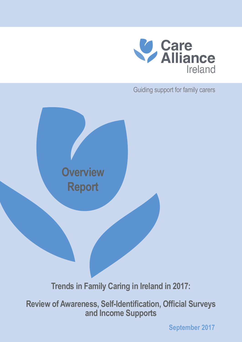

Guiding support for family carers

**Overview Report**

**Trends in Family Caring in Ireland in 2017:**

**Review of Awareness, Self-Identification, Official Surveys and Income Supports**

**September 2017**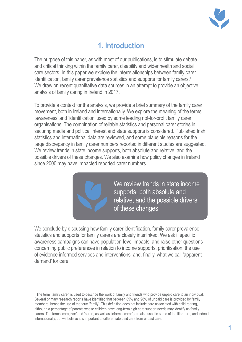

# **1. Introduction**

The purpose of this paper, as with most of our publications, is to stimulate debate and critical thinking within the family carer, disability and wider health and social care sectors. In this paper we explore the interrelationships between family carer identification, family carer prevalence statistics and supports for family carers.<sup>1</sup> We draw on recent quantitative data sources in an attempt to provide an objective analysis of family caring in Ireland in 2017.

To provide a context for the analysis, we provide a brief summary of the family carer movement, both in Ireland and internationally. We explore the meaning of the terms 'awareness' and 'identification' used by some leading not-for-profit family carer organisations. The combination of reliable statistics and personal carer stories in securing media and political interest and state supports is considered. Published Irish statistics and international data are reviewed, and some plausible reasons for the large discrepancy in family carer numbers reported in different studies are suggested. We review trends in state income supports, both absolute and relative, and the possible drivers of these changes. We also examine how policy changes in Ireland since 2000 may have impacted reported carer numbers.



We conclude by discussing how family carer identification, family carer prevalence statistics and supports for family carers are closely interlinked. We ask if specific awareness campaigns can have population-level impacts, and raise other questions concerning public preferences in relation to income supports, prioritisation, the use of evidence-informed services and interventions, and, finally, what we call 'apparent demand' for care.

1 The term 'family carer' is used to describe the work of family and friends who provide unpaid care to an individual. Several primary research reports have identified that between 85% and 98% of unpaid care is provided by family members, hence the use of the term 'family'. This definition does not include care associated with child rearing, although a percentage of parents whose children have long-term high care support needs may identify as family carers. The terms 'caregiver' and 'carer', as well as 'informal carer', are also used in some of the literature, and indeed internationally, but we believe it is important to differentiate paid care from unpaid care.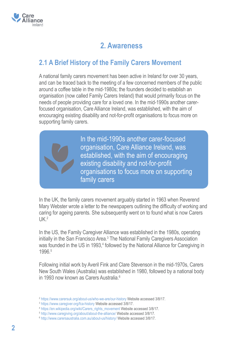

# **2. Awareness**

### **2.1 A Brief History of the Family Carers Movement**

A national family carers movement has been active in Ireland for over 30 years, and can be traced back to the meeting of a few concerned members of the public around a coffee table in the mid-1980s; the founders decided to establish an organisation (now called Family Carers Ireland) that would primarily focus on the needs of people providing care for a loved one. In the mid-1990s another carerfocused organisation, Care Alliance Ireland, was established, with the aim of encouraging existing disability and not-for-profit organisations to focus more on supporting family carers.

> In the mid-1990s another carer-focused organisation, Care Alliance Ireland, was established, with the aim of encouraging existing disability and not-for-profit organisations to focus more on supporting family carers

In the UK, the family carers movement arguably started in 1963 when Reverend Mary Webster wrote a letter to the newspapers outlining the difficulty of working and caring for ageing parents. She subsequently went on to found what is now Carers  $11K<sup>2</sup>$ 

In the US, the Family Caregiver Alliance was established in the 1980s, operating initially in the San Francisco Area.<sup>3</sup> The National Family Caregivers Association was founded in the US in 1993,<sup>4</sup> followed by the National Alliance for Caregiving in 1996.5

Following initial work by Averil Fink and Clare Stevenson in the mid-1970s, Carers New South Wales (Australia) was established in 1980, followed by a national body in 1993 now known as Carers Australia.<sup>6</sup>

<sup>2</sup> https://www.carersuk.org/about-us/who-we-are/our-history Website accessed 3/8/17.

<sup>3</sup> https://www.caregiver.org/fca-history Website accessed 3/8/17.

<sup>4</sup> https://en.wikipedia.org/wiki/Carers\_rights\_movement Website accessed 3/8/17.

<sup>5</sup> http://www.caregiving.org/about/about-the-alliance/ Website accessed 3/8/17.

<sup>6</sup> http://www.carersaustralia.com.au/about-us/history/ Website accessed 3/8/17.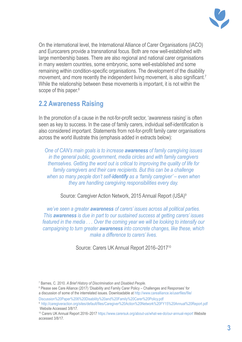

On the international level, the International Alliance of Carer Organisations (IACO) and Eurocarers provide a transnational focus. Both are now well-established with large membership bases. There are also regional and national carer organisations in many western countries, some embryonic, some well-established and some remaining within condition-specific organisations. The development of the disability movement, and more recently the independent living movement, is also significant.<sup>7</sup> While the relationship between these movements is important, it is not within the scope of this paper.<sup>8</sup>

## **2.2 Awareness Raising**

In the promotion of a cause in the not-for-profit sector, 'awareness raising' is often seen as key to success. In the case of family carers, individual self-identification is also considered important. Statements from not-for-profit family carer organisations across the world illustrate this (emphasis added in extracts below):

*One of CAN's main goals is to increase awareness of family caregiving issues in the general public, government, media circles and with family caregivers themselves. Getting the word out is critical to improving the quality of life for family caregivers and their care recipients. But this can be a challenge when so many people don't self-identify as a 'family caregiver' – even when they are handling caregiving responsibilities every day.*

Source: Caregiver Action Network, 2015 Annual Report (USA)9

*we've seen a greater awareness of carers' issues across all political parties. This awareness is due in part to our sustained success at getting carers' issues featured in the media . . . Over the coming year we will be looking to intensify our campaigning to turn greater awareness into concrete changes, like these, which make a difference to carers' lives.*

Source: Carers UK Annual Report 2016–2017<sup>10</sup>

<sup>8</sup> Please see Care Alliance (2017) 'Disability and Family Carer Policy – Challenges and Responses' for a discussion of some of the interrelated issues. Downloadable at http://www.carealliance.ie/userfiles/file/

<sup>7</sup> Barnes, C. 2010. *A Brief History of Discrimination and Disabled People*.

Discussion%20Paper%206%20Disability%20and%20Family%20Carer%20Policy.pdf

<sup>9</sup> http://caregiveraction.org/sites/default/files/Caregiver%20Action%20Network%20FY15%20Annual%20Report.pdf Website Accessed 3/8/17.

<sup>10</sup> Carers UK Annual Report 2016–2017 https://www.carersuk.org/about-us/what-we-do/our-annual-report Website accessed 3/8/17.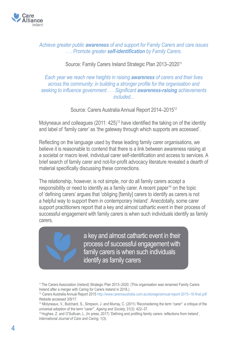

#### *Achieve greater public awareness of and support for Family Carers and care issues . . . Promote greater self-identification by Family Carers.*

#### Source: Family Carers Ireland Strategic Plan 2013–2020<sup>11</sup>

*Each year we reach new heights in raising awareness of carers and their lives across the community; in building a stronger profile for the organisation and seeking to influence government . . . Significant awareness-raising achievements included...*

Source: Carers Australia Annual Report 2014–2015<sup>12</sup>

Molyneaux and colleagues (2011: 425)<sup>13</sup> have identified the taking on of the identity and label of 'family carer' as 'the gateway through which supports are accessed'.

Reflecting on the language used by these leading family carer organisations, we believe it is reasonable to contend that there is a link between awareness raising at a societal or macro level, individual carer self-identification and access to services. A brief search of family carer and not-for-profit advocacy literature revealed a dearth of material specifically discussing these connections.

The relationship, however, is not simple, nor do all family carers accept a responsibility or need to identify as a family carer. A recent paper<sup>14</sup> on the topic of 'defining carers' argues that 'obliging [family] carers to identify as carers is not a helpful way to support them in contemporary Ireland'. Anecdotally, some carer support practitioners report that a key and almost cathartic event in their process of successful engagement with family carers is when such individuals identify as family carers.

> a key and almost cathartic event in their process of successful engagement with family carers is when such individuals identify as family carers

<sup>11</sup>The Carers Association (Ireland) Strategic Plan 2013–2020. (This organisation was renamed Family Carers Ireland after a merger with Caring for Carers Ireland in 2016.)

<sup>12</sup> Carers Australia Annual Report 2015 http://www.carersaustralia.com.au/storage/annual-report-2015–16-final.pdf Website accessed 3/8/17.

<sup>13</sup> Molyneaux, V., Butchard, S., Simpson, J. and Murray, C. (2011) 'Reconsidering the term "carer": a critique of the universal adoption of the term "carer"', *Ageing and Society,* 31(3): 422–37.

<sup>14</sup>Hughes, Z. and O'Sullivan, L. (In press, 2017) 'Defining and profiling family carers: reflections from Ireland', *International Journal of Care and Caring*, 1(3).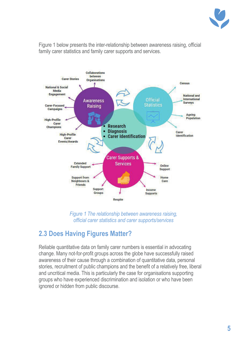

Figure 1 below presents the inter-relationship between awareness raising, official family carer statistics and family carer supports and services.



*Figure 1 The relationship between awareness raising, official carer statistics and carer supports/services*

## **2.3 Does Having Figures Matter?**

Reliable quantitative data on family carer numbers is essential in advocating change. Many not-for-profit groups across the globe have successfully raised awareness of their cause through a combination of quantitative data, personal stories, recruitment of public champions and the benefit of a relatively free, liberal and uncritical media. This is particularly the case for organisations supporting groups who have experienced discrimination and isolation or who have been ignored or hidden from public discourse.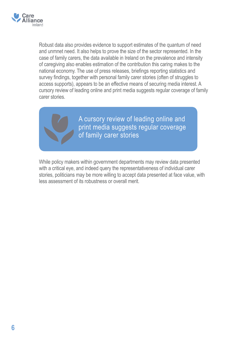

Robust data also provides evidence to support estimates of the quantum of need and unmnet need. It also helps to prove the size of the sector represented. In the case of family carers, the data available in Ireland on the prevalence and intensity of caregiving also enables estimation of the contribution this caring makes to the national economy. The use of press releases, briefings reporting statistics and survey findings, together with personal family carer stories (often of struggles to access supports), appears to be an effective means of securing media interest. A cursory review of leading online and print media suggests regular coverage of family carer stories.



A cursory review of leading online and print media suggests regular coverage of family carer stories

While policy makers within government departments may review data presented with a critical eye, and indeed query the representativeness of individual carer stories, politicians may be more willing to accept data presented at face value, with less assessment of its robustness or overall merit.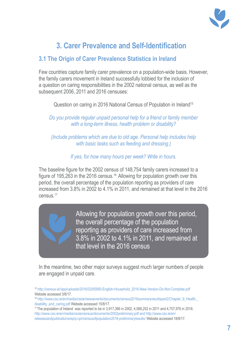

# **3. Carer Prevalence and Self-Identification**

### **3.1 The Origin of Carer Prevalence Statistics in Ireland**

Few countries capture family carer prevalence on a population-wide basis. However, the family carers movement in Ireland successfully lobbied for the inclusion of a question on caring responsibilities in the 2002 national census, as well as the subsequent 2006, 2011 and 2016 censuses:

Question on caring in 2016 National Census of Population in Ireland<sup>15</sup>

*Do you provide regular unpaid personal help for a friend or family member with a long-term illness, health problem or disability?*

*(Include problems which are due to old age. Personal help includes help with basic tasks such as feeding and dressing.)*

*If yes, for how many hours per week? Write in hours.*

The baseline figure for the 2002 census of 148,754 family carers increased to a figure of 195,263 in the 2016 census.16 Allowing for population growth over this period, the overall percentage of the population reporting as providers of care increased from 3.8% in 2002 to 4.1% in 2011, and remained at that level in the 2016 census.17

> Allowing for population growth over this period, the overall percentage of the population reporting as providers of care increased from 3.8% in 2002 to 4.1% in 2011, and remained at that level in the 2016 census

In the meantime, two other major surveys suggest much larger numbers of people are engaged in unpaid care.

<sup>15</sup> http://census.ie//app/uploads/2016/02/65995-English-Household\_2016-New-Version-Do-Not-Complete.pdf Website accessed 3/8/17.

<sup>17</sup>The population of Ireland was reported to be in 3,917,366 in 2002, 4,588,252 in 2011 and 4,757,976 in 2016. http://www.cso.ie/en/media/csoie/census/documents/2002preliminary.pdf and http://www.cso.ie/en/ releasesandpublications/ep/p-cpr/censusofpopulation2016-preliminaryresults/ Website accessed 18/8/17.

<sup>16</sup> http://www.cso.ie/en/media/csoie/newsevents/documents/census2016summaryresultspart2/Chapter\_9\_Health,\_ disability\_and\_caring.pdf Website accessed 15/8/17.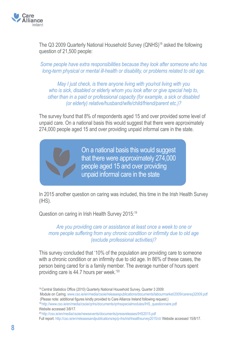

The Q3 2009 Quarterly National Household Survey (QNHS)<sup>18</sup> asked the following question of 21,500 people:

*Some people have extra responsibilities because they look after someone who has long-term physical or mental ill-health or disability, or problems related to old age.*

*May I just check, is there anyone living with you/not living with you who is sick, disabled or elderly whom you look after or give special help to, other than in a paid or professional capacity (for example, a sick or disabled (or elderly) relative/husband/wife/child/friend/parent etc.)?*

The survey found that 8% of respondents aged 15 and over provided some level of unpaid care. On a national basis this would suggest that there were approximately 274,000 people aged 15 and over providing unpaid informal care in the state.

> On a national basis this would suggest that there were approximately 274,000 people aged 15 and over providing unpaid informal care in the state

In 2015 another question on caring was included, this time in the Irish Health Survey (IHS).

Question on caring in Irish Health Survey 2015:19

#### *Are you providing care or assistance at least once a week to one or more people suffering from any chronic condition or infirmity due to old age (exclude professional activities)?*

This survey concluded that '10% of the population are providing care to someone with a chronic condition or an infirmity due to old age. In 86% of these cases, the person being cared for is a family member. The average number of hours spent providing care is 44.7 hours per week.'<sup>20</sup>

<sup>&</sup>lt;sup>18</sup> Central Statistics Office (2010) Quarterly National Household Survey, Quarter 3 2009:

Module on Caring. www.cso.ie/en/media/csoie/releasespublications/documents/labourmarket/2009/carersq32009.pdf (Please note: additional figures kindly provided to Care Alliance Ireland following request.)

<sup>19</sup>http://www.cso.ie/en/media/csoie/qnhs/documents/qnhsspecialmodules/IHS\_questionnaire.pdf Website accessed 3/8/17.

<sup>20</sup>http://cso.ie/en/media/csoie/newsevents/documents/pressreleases/IHS2015.pdf

Full report: http://cso.ie/en/releasesandpublications/ep/p-ihs/irishhealthsurvey2015/ct/ Website accessed 15/8/17.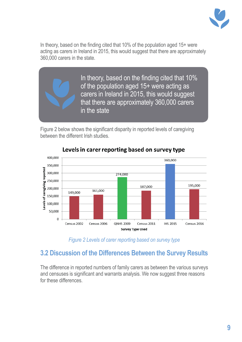

In theory, based on the finding cited that 10% of the population aged 15+ were acting as carers in Ireland in 2015, this would suggest that there are approximately 360,000 carers in the state.

> In theory, based on the finding cited that 10% of the population aged 15+ were acting as carers in Ireland in 2015, this would suggest that there are approximately 360,000 carers in the state

Figure 2 below shows the significant disparity in reported levels of caregiving between the different Irish studies.



### Levels in carer reporting based on survey type

*Figure 2 Levels of carer reporting based on survey type*

## **3.2 Discussion of the Differences Between the Survey Results**

The difference in reported numbers of family carers as between the various surveys and censuses is significant and warrants analysis. We now suggest three reasons for these differences.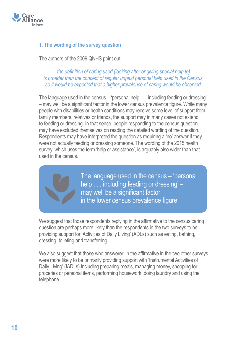

#### **1. The wording of the survey question**

The authors of the 2009 QNHS point out:

*the definition of caring used (looking after or giving special help to) is broader than the concept of regular unpaid personal help used in the Census, so it would be expected that a higher prevalence of caring would be observed.*

The language used in the census – 'personal help . . . including feeding or dressing' – may well be a significant factor in the lower census prevalence figure. While many people with disabilities or health conditions may receive some level of support from family members, relatives or friends, the support may in many cases not extend to feeding or dressing. In that sense, people responding to the census question may have excluded themselves on reading the detailed wording of the question. Respondents may have interpreted the question as requiring a 'no' answer if they were not actually feeding or dressing someone. The wording of the 2015 health survey, which uses the term 'help or assistance', is arguably also wider than that used in the census.



The language used in the census – 'personal help . . . including feeding or dressing' – may well be a significant factor in the lower census prevalence figure

We suggest that those respondents replying in the affirmative to the census caring question are perhaps more likely than the respondents in the two surveys to be providing support for 'Activities of Daily Living' (ADLs) such as eating, bathing, dressing, toileting and transferring.

We also suggest that those who answered in the affirmative in the two other surveys were more likely to be primarily providing support with 'Instrumental Activities of Daily Living' (IADLs) including preparing meals, managing money, shopping for groceries or personal items, performing housework, doing laundry and using the telephone.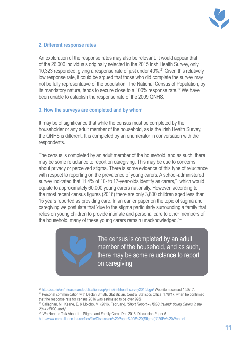

#### **2. Different response rates**

An exploration of the response rates may also be relevant. It would appear that of the 26,000 individuals originally selected in the 2015 Irish Health Survey, only 10,323 responded, giving a response rate of just under 40%.<sup>21</sup> Given this relatively low response rate, it could be argued that those who did complete the survey may not be fully representative of the population. The National Census of Population, by its mandatory nature, tends to secure close to a 100% response rate.<sup>22</sup> We have been unable to establish the response rate of the 2009 QNHS.

#### **3. How the surveys are completed and by whom**

It may be of significance that while the census must be completed by the householder or any adult member of the household, as is the Irish Health Survey, the QNHS is different. It is completed by an enumerator in conversation with the respondents.

The census is completed by an adult member of the household, and as such, there may be some reluctance to report on caregiving. This may be due to concerns about privacy or perceived stigma. There is some evidence of this type of reluctance with respect to reporting on the prevalence of young carers. A school-administered survey indicated that 11.4% of 10- to 17-year-olds identify as carers,<sup>23</sup> which would equate to approximately 60,000 young carers nationally. However, according to the most recent census figures (2016) there are only 3,800 children aged less than 15 years reported as providing care. In an earlier paper on the topic of stigma and caregiving we postulate that 'due to the stigma particularly surrounding a family that relies on young children to provide intimate and personal care to other members of the household, many of these young carers remain unacknowledged.'24

> The census is completed by an adult member of the household, and as such, there may be some reluctance to report on caregiving

<sup>21</sup> http://cso.ie/en/releasesandpublications/ep/p-ihs/irishhealthsurvey2015/bgn/ Website accessed 15/8/17.

<sup>&</sup>lt;sup>22</sup> Personal communication with Declan Smyth, Statistician, Central Statistics Office, 17/8/17, when he confirmed that the response rate for census 2016 was estimated to be over 99%.

<sup>23</sup> Callaghan, M., Keane, E. & Molcho, M. (2016, February). '*Short Report – HBSC Ireland: Young Carers in the 2014 HBSC study*'.

<sup>&</sup>lt;sup>24</sup> 'We Need to Talk About It – Stigma and Family Care'. Dec 2016. Discussion Paper 5.

http://www.carealliance.ie/userfiles/file/Discussion%20Paper%205%20(Stigma)%20FA%20Web.pdf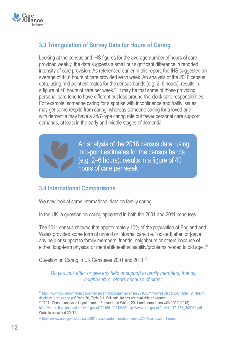

### **3.3 Triangulation of Survey Data for Hours of Caring**

Looking at the census and IHS figures for the average number of hours of care provided weekly, the data suggests a small but significant difference in reported intensity of care provision. As referenced earlier in this report, the IHS suggested an average of 44.6 hours of care provided each week. An analysis of the 2016 census data, using mid-point estimates for the census bands (e.g. 2–6 hours), results in a figure of 40 hours of care per week.25 It may be that some of those providing personal care tend to have different but less around-the-clock care responsibilities. For example, someone caring for a spouse with incontinence and frailty issues may get some respite from caring, whereas someone caring for a loved one with dementia may have a 24/7-type caring role but fewer personal care support demands, at least in the early and middle stages of dementia.

> An analysis of the 2016 census data, using mid-point estimates for the census bands (e.g. 2–6 hours), results in a figure of 40 hours of care per week

#### **3.4 International Comparisons**

We now look at some international data on family caring.

In the UK, a question on caring appeared in both the 2001 and 2011 censuses.

The 2011 census showed that approximately 10% of the population of England and Wales provided some form of unpaid or informal care, i.e. 'look[ed] after, or [gave] any help or support to family members, friends, neighbours or others because of either: long-term physical or mental ill-health/disability/problems related to old age<sup>'.26</sup>

Question on Caring in UK Censuses 2001 and 2011:27

*Do you look after, or give any help or support to family members, friends, neighbours or others because of either:*

<sup>27</sup> https://www.ons.gov.uk/census/2001censusandearlier/aboutcensus2001/census2001forms

<sup>&</sup>lt;sup>25</sup> http://www.cso.ie/en/media/csoie/newsevents/documents/census2016summaryresultspart2/Chapter\_9\_Health, disability and caring.pdf Page 70, Table 9.1. Full calculations are available on request.

<sup>26 &#</sup>x27;2011 Census analysis: Unpaid care in England and Wales, 2011 and comparison with 2001' (2013) http://webarchive.nationalarchives.gov.uk/20160109213406/http://www.ons.gov.uk/ons/dcp171766\_300039.pdf Website accessed 3/8/17.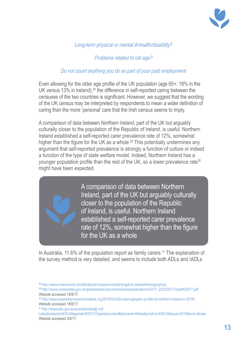

#### *Long-term physical or mental ill-health/disability?*

#### *Problems related to old age?*

#### *Do not count anything you do as part of your paid employment*

Even allowing for the older age profile of the UK population (age 65+: 18% in the UK versus 13% in Ireland),<sup>28</sup> the difference in self-reported caring between the censuses of the two countries is significant. However, we suggest that the wording of the UK census may be interpreted by respondents to mean a wider definition of caring than the more 'personal' care that the Irish census seems to imply.

A comparison of data between Northern Ireland, part of the UK but arguably culturally closer to the population of the Republic of Ireland, is useful. Northern Ireland established a self-reported carer prevalence rate of 12%, somewhat higher than the figure for the UK as a whole.<sup>29</sup> This potentially undermines any argument that self-reported prevalence is strongly a function of culture or indeed a function of the type of state welfare model. Indeed, Northern Ireland has a younger population profile than the rest of the UK, so a lower prevalence rate<sup>30</sup> might have been expected.

> A comparison of data between Northern Ireland, part of the UK but arguably culturally closer to the population of the Republic of Ireland, is useful. Northern Ireland established a self-reported carer prevalence rate of 12%, somewhat higher than the figure for the UK as a whole

In Australia, 11.6% of the population report as family carers.<sup>31</sup> The explanation of the survey method is very detailed, and seems to include both ADLs and IADLs

<sup>28</sup> http://www.indexmundi.com/factbook/compare/united-kingdom.ireland/demographics

<sup>29</sup> http://www.niassembly.gov.uk/globalassets/documents/raise/publications/2017–2022/2017/health/2517.pdf Website accessed 18/8/17.

<sup>30</sup> http://www.assemblyresearchmatters.org/2016/04/29/a-demographic-profile-of-northern-ireland-in-2016/ Website accessed 18/8/17.

<sup>31</sup> http://www.abs.gov.au/ausstats/abs@.nsf/

Latestproducts/4430.0Appendix302015?opendocument&tabname=Notes&prodno=4430.0&issue=2015&num=&view Website accessed 3/8/17.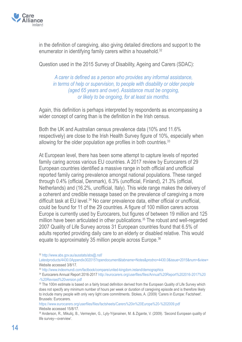

in the definition of caregiving, also giving detailed directions and support to the enumerator in identifying family carers within a household.<sup>32</sup>

Question used in the 2015 Survey of Disability, Ageing and Carers (SDAC):

*A carer is defined as a person who provides any informal assistance, in terms of help or supervision, to people with disability or older people (aged 65 years and over). Assistance must be ongoing, or likely to be ongoing, for at least six months.*

Again, this definition is perhaps interpreted by respondents as encompassing a wider concept of caring than is the definition in the Irish census.

Both the UK and Australian census prevalence data (10% and 11.6% respectively) are close to the Irish Health Survey figure of 10%, especially when allowing for the older population age profiles in both countries.<sup>33</sup>

At European level, there has been some attempt to capture levels of reported family caring across various EU countries. A 2017 review by Eurocarers of 29 European countries identified a massive range in both official and unofficial reported family caring prevalence amongst national populations. These ranged through 0.4% (official, Denmark), 6.3% (unofficial, Finland), 21.3% (official, Netherlands) and (16.2%, unofficial, Italy). This wide range makes the delivery of a coherent and credible message based on the prevalence of caregiving a more difficult task at EU level.<sup>34</sup> No carer prevalence data, either official or unofficial, could be found for 11 of the 29 countries. A figure of 100 million carers across Europe is currently used by Eurocarers, but figures of between 19 million and 125 million have been articulated in other publications.<sup>35</sup> The robust and well-regarded 2007 Quality of Life Survey across 31 European countries found that 6.5% of adults reported providing daily care to an elderly or disabled relative. This would equate to approximately 35 million people across Europe.<sup>36</sup>

https://www.eurocarers.org/userfiles/files/factsheets/Carers%20in%20Europe%20-%202009.pdf Website accessed 15/8/17.

<sup>32</sup> http://www.abs.gov.au/ausstats/abs@.nsf/

Latestproducts/4430.0Appendix302015?opendocument&tabname=Notes&prodno=4430.0&issue=2015&num=&view= Website accessed 3/8/17.

<sup>33</sup> http://www.indexmundi.com/factbook/compare/united-kingdom.ireland/demographics

<sup>34</sup> Eurocarers Annual Report 2016-2017 http://eurocarers.org/userfiles/files/Annual%20Report%202016-2017%20 -%20Revised%20version.pdf

<sup>35</sup> The 100m estimate is based on a fairly broad definition derived from the European Quality of Life Survey which does not specify any minimum number of hours per week or duration of caregiving episode and is therefore likely to include many people with only very light care commitments. Stokes, A. (2009) 'Carers in Europe: Factsheet'. Brussels: Eurocarers.

<sup>36</sup> Anderson, R., Mikuliç, B., Vermeylen, G., Lyly-Yrjanainen, M. & Zigante, V. (2009). 'Second European quality of life survey—overview'.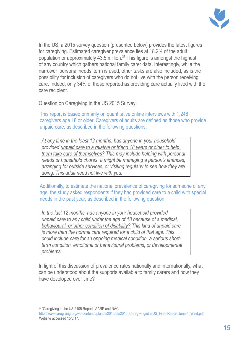

In the US, a 2015 survey question (presented below) provides the latest figures for caregiving. Estimated caregiver prevalence lies at 18.2% of the adult population or approximately 43.5 million.37 This figure is amongst the highest of any country which gathers national family carer data. Interestingly, while the narrower 'personal needs' term is used, other tasks are also included, as is the possibility for inclusion of caregivers who do not live with the person receiving care. Indeed, only 34% of those reported as providing care actually lived with the care recipient.

Question on Caregiving in the US 2015 Survey:

This report is based primarily on quantitative online interviews with 1,248 caregivers age 18 or older. Caregivers of adults are defined as those who provide unpaid care, as described in the following questions:

*At any time in the least 12 months, has anyone in your household provided unpaid care to a relative or friend 18 years or older to help them take care of themselves? This may include helping with personal needs or household chores. It might be managing a person's finances, arranging for outside services, or visiting regularly to see how they are doing. This adult need not live with you.*

Additionally, to estimate the national prevalence of caregiving for someone of any age, the study asked respondents if they had provided care to a child with special needs in the past year, as described in the following question:

*In the last 12 months, has anyone in your household provided unpaid care to any child under the age of 18 because of a medical, behavioural, or other condition of disability? This kind of unpaid care is more than the normal care required for a child of that age. This could include care for an ongoing medical condition, a serious shortterm condition, emotional or behavioural problems, or developmental problems.*

In light of this discussion of prevalence rates nationally and internationally, what can be understood about the supports available to family carers and how they have developed over time?

37 'Caregiving in the US 2105 Report'. AARP and NAC.

http://www.caregiving.org/wp-content/uploads/2015/05/2015\_CaregivingintheUS\_Final-Report-June-4\_WEB.pdf Website accessed 15/8/17.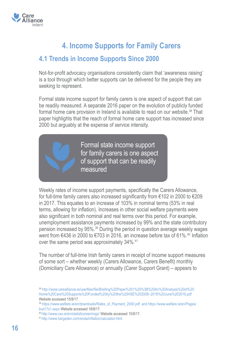

# **4. Income Supports for Family Carers**

### **4.1 Trends in Income Supports Since 2000**

Not-for-profit advocacy organisations consistently claim that 'awareness raising' is a tool through which better supports can be delivered for the people they are seeking to represent.

Formal state income support for family carers is one aspect of support that can be readily measured. A separate 2016 paper on the evolution of publicly funded formal home care provision in Ireland is available to read on our website.<sup>38</sup> That paper highlights that the reach of formal home care support has increased since 2000 but arguably at the expense of service intensity.

> Formal state income support for family carers is one aspect of support that can be readily measured

Weekly rates of income support payments, specifically the Carers Allowance, for full-time family carers also increased significantly from €102 in 2000 to €209 in 2017. This equates to an increase of 103% in nominal terms (53% in real terms, allowing for inflation). Increases in other social welfare payments were also significant in both nominal and real terms over this period. For example, unemployment assistance payments increased by 99% and the state contributory pension increased by 95%.39 During the period in question average weekly wages went from  $\epsilon$ 436 in 2000 to  $\epsilon$ 703 in 2016, an increase before tax of 61%.<sup>40</sup> Inflation over the same period was approximately 34%.<sup>41</sup>

The number of full-time Irish family carers in receipt of income support measures of some sort – whether weekly (Carers Allowance, Carers Benefit) monthly (Domiciliary Care Allowance) or annually (Carer Support Grant) – appears to

<sup>38</sup> http://www.carealliance.ie/userfiles/file/Briefing%20Paper%201%20%3B%20An%20Analysis%20of%20 Home%20Care%20Supports%20Funded%20by%20the%20HSE%202008–2016%20June%202016.pdf Website accessed 15/8/17.

<sup>39</sup> https://www.welfare.ie/en/downloads/Rates\_of\_Payment\_2000.pdf and https://www.welfare.ie/en/Pages/ bud17s1.aspx Website accessed 18/8/17.

<sup>40</sup> http://www.cso.ie/en/statistics/earnings/ Website accessed 15/8/17.

<sup>41</sup>http://www.hargaden.com/enda/inflation/calculator.html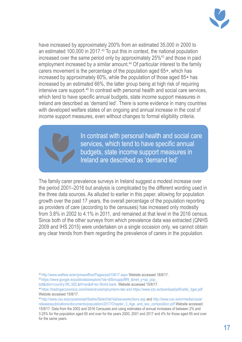

have increased by approximately 200% from an estimated 35,000 in 2000 to an estimated 100,000 in 2017.<sup>42</sup> To put this in context, the national population increased over the same period only by approximately 25%43 and those in paid employment increased by a similar amount.<sup>44</sup> Of particular interest to the family carers movement is the percentage of the population aged 65+, which has increased by approximately 60%, while the population of those aged 85+ has increased by an estimated 66%, the latter group being at high risk of requiring intensive care support.45 In contrast with personal health and social care services, which tend to have specific annual budgets, state income support measures in Ireland are described as 'demand led'. There is some evidence in many countries with developed welfare states of an ongoing and annual increase in the cost of income support measures, even without changes to formal eligibility criteria.

> In contrast with personal health and social care services, which tend to have specific annual budgets, state income support measures in Ireland are described as 'demand led'

The family carer prevalence surveys in Ireland suggest a modest increase over the period 2001–2016 but analysis is complicated by the different wording used in the three data sources. As alluded to earlier in this paper, allowing for population growth over the past 17 years, the overall percentage of the population reporting as providers of care (according to the censuses) has increased only modestly from 3.8% in 2002 to 4.1% in 2011, and remained at that level in the 2016 census. Since both of the other surveys from which prevalence data was extracted (QNHS 2009 and IHS 2015) were undertaken on a single occasion only, we cannot obtain any clear trends from them regarding the prevalence of carers in the population.

- <sup>42</sup>http://www.welfare.ie/en/pressoffice/Pages/pa010617.aspx Website accessed 18/8/17.
- 43 https://www.google.ie/publicdata/explore?ds=d5bncppjof8f9\_&met\_y=sp\_pop\_
- totl&idim=country:IRL:NZL&hl=en&dl=en World bank. Website accessed 15/8/17.

<sup>45</sup> http://www.cso.ie/px/pxeirestat/Statire/SelectVarVal/saveselections.asp and http://www.cso.ie/en/media/csoie/ releasespublications/documents/population/2017/Chapter\_3\_Age\_and\_sex\_composition.pdf Website accessed 15/8/17. Data from the 2002 and 2016 Censuses and using estimates of annual increases of between 2% and

3.25% for the population aged 65 and over for the years 2000, 2001 and 2017 and 4% for those aged 85 and over for the same years.

<sup>44</sup> https://tradingeconomics.com/ireland/unemployment-rate and https://www.ictu.ie/download/pdf/celtic\_tiger.pdf Website accessed 15/8/17.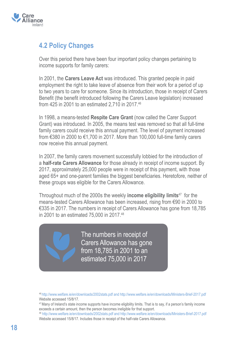

### **4.2 Policy Changes**

Over this period there have been four important policy changes pertaining to income supports for family carers:

In 2001, the **Carers Leave Act** was introduced. This granted people in paid employment the right to take leave of absence from their work for a period of up to two years to care for someone. Since its introduction, those in receipt of Carers Benefit (the benefit introduced following the Carers Leave legislation) increased from 425 in 2001 to an estimated 2,710 in 2017.46

In 1998, a means-tested **Respite Care Grant** (now called the Carer Support Grant) was introduced. In 2005, the means test was removed so that all full-time family carers could receive this annual payment. The level of payment increased from €380 in 2000 to €1,700 in 2017. More than 100,000 full-time family carers now receive this annual payment.

In 2007, the family carers movement successfully lobbied for the introduction of a **half-rate Carers Allowance** for those already in receipt of income support. By 2017, approximately 25,000 people were in receipt of this payment, with those aged 65+ and one-parent families the biggest beneficiaries. Heretofore, neither of these groups was eligible for the Carers Allowance.

Throughout much of the 2000s the weekly **income eligibility limits**47 for the means-tested Carers Allowance has been increased, rising from €90 in 2000 to €335 in 2017. The numbers in receipt of Carers Allowance has gone from 18,785 in 2001 to an estimated 75,000 in 2017.<sup>48</sup>

> The numbers in receipt of Carers Allowance has gone from 18,785 in 2001 to an estimated 75,000 in 2017

<sup>46</sup> http://www.welfare.ie/en/downloads/2002stats.pdf and http://www.welfare.ie/en/downloads/Ministers-Brief-2017.pdf Website accessed 15/8/17.

<sup>47</sup>Many of Ireland's state income supports have income eligibility limits. That is to say, if a person's family income exceeds a certain amount, then the person becomes ineligible for that support.

<sup>48</sup> http://www.welfare.ie/en/downloads/2002stats.pdf and http://www.welfare.ie/en/downloads/Ministers-Brief-2017.pdf Website accessed 15/8/17. Includes those in receipt of the half-rate Carers Allowance.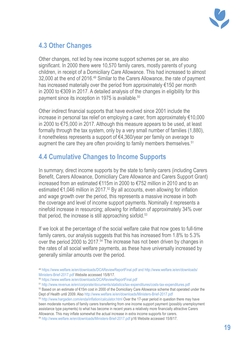

## **4.3 Other Changes**

Other changes, not led by new income support schemes per se, are also significant. In 2000 there were 10,570 family carers, mostly parents of young children, in receipt of a Domiciliary Care Allowance. This had increased to almost 32,000 at the end of 2016.<sup>49</sup> Similar to the Carers Allowance, the rate of payment has increased materially over the period from approximately €150 per month in 2000 to €309 in 2017. A detailed analysis of the changes in eligibility for this payment since its inception in 1975 is available.<sup>50</sup>

Other indirect financial supports that have evolved since 2001 include the increase in personal tax relief on employing a carer, from approximately €10,000 in 2000 to €75,000 in 2017. Although this measure appears to be used, at least formally through the tax system, only by a very small number of families (1,880), it nonetheless represents a support of €4,360/year per family on average to augment the care they are often providing to family members themselves.<sup>51</sup>

# **4.4 Cumulative Changes to Income Supports**

In summary, direct income supports by the state to family carers (including Carers Benefit, Carers Allowance, Domiciliary Care Allowance and Carers Support Grant) increased from an estimated €115m in 2000 to €752 million in 2010 and to an estimated  $\epsilon$ 1,046 million in 2017.<sup>52</sup> By all accounts, even allowing for inflation and wage growth over the period, this represents a massive increase in both the coverage and level of income support payments. Nominally it represents a ninefold increase in resourcing; allowing for inflation of approximately 34% over that period, the increase is still approaching sixfold. $53$ 

If we look at the percentage of the social welfare cake that now goes to full-time family carers, our analysis suggests that this has increased from 1.8% to 5.3% over the period 2000 to 2017.<sup>54</sup> The increase has not been driven by changes in the rates of all social welfare payments, as these have universally increased by generally similar amounts over the period.

<sup>54</sup> http://www.welfare.ie/en/downloads/Ministers-Brief-2017.pdf p16 Website accessed 15/8/17.

<sup>49</sup> https://www.welfare.ie/en/downloads/DCAReviewReportFinal.pdf and http://www.welfare.ie/en/downloads/ Ministers-Brief-2017.pdf Website accessed 15/8/17.

<sup>50</sup> https://www.welfare.ie/en/downloads/DCAReviewReportFinal.pdf

<sup>51</sup> http://www.revenue.ie/en/corporate/documents/statistics/tax-expenditures/costs-tax-expenditures.pdf

<sup>52</sup> Based on an estimate of €15m cost in 2000 of the Domiciliary Care Allowance scheme that operated under the Dept of Health until 2009. Also http://www.welfare.ie/en/downloads/Ministers-Brief-2017.pdf

<sup>53</sup> http://www.hargaden.com/enda/inflation/calculator.html Over the 17-year period in question there may have been moderate numbers of family carers transferring from one income support payment (possibly unemployment assistance type payments) to what has become in recent years a relatively more financially attractive Carers Allowance. This may inflate somewhat the actual increase in extra income supports for carers.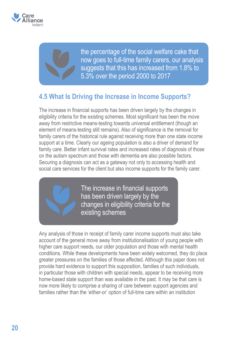

the percentage of the social welfare cake that now goes to full-time family carers, our analysis suggests that this has increased from 1.8% to 5.3% over the period 2000 to 2017

### **4.5 What Is Driving the Increase in Income Supports?**

The increase in financial supports has been driven largely by the changes in eligibility criteria for the existing schemes. Most significant has been the move away from restrictive means-testing towards universal entitlement (though an element of means-testing still remains). Also of significance is the removal for family carers of the historical rule against receiving more than one state income support at a time. Clearly our ageing population is also a driver of demand for family care. Better infant survival rates and increased rates of diagnosis of those on the autism spectrum and those with dementia are also possible factors. Securing a diagnosis can act as a gateway not only to accessing health and social care services for the client but also income supports for the family carer.

> The increase in financial supports has been driven largely by the changes in eligibility criteria for the existing schemes

Any analysis of those in receipt of family carer income supports must also take account of the general move away from institutionalisation of young people with higher care support needs, our older population and those with mental health conditions. While these developments have been widely welcomed, they do place greater pressures on the families of those affected. Although this paper does not provide hard evidence to support this supposition, families of such individuals, in particular those with children with special needs, appear to be receiving more home-based state support than was available in the past. It may be that care is now more likely to comprise a sharing of care between support agencies and families rather than the 'either-or' option of full-time care within an institution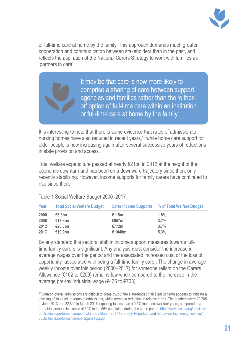

or full-time care at home by the family. This approach demands much greater cooperation and communication between stakeholders than in the past, and reflects the aspiration of the National Carers Strategy to work with families as 'partners in care'.

> It may be that care is now more likely to comprise a sharing of care between support agencies and families rather than the 'eitheror' option of full-time care within an institution or full-time care at home by the family

It is interesting to note that there is some evidence that rates of admission to nursing homes have also reduced in recent years,<sup>55</sup> while home care support for older people is now increasing again after several successive years of reductions in state provision and access.

Total welfare expenditure peaked at nearly €21bn in 2012 at the height of the economic downturn and has been on a downward trajectory since then, only recently stabilising. However, income supports for family carers have continued to rise since then.

| Year | <b>Total Social Welfare Budget</b> |            | <b>Carer Income Supports % of Total Welfare Budget</b> |
|------|------------------------------------|------------|--------------------------------------------------------|
| 2000 | €6.8bn                             | €115m      | 1.8%                                                   |
| 2008 | €17.8bn                            | €657 $m$   | 3.7%                                                   |
| 2012 | €20.8bn                            | €772m      | 3.7%                                                   |
| 2017 | €19.9bn                            | € 1048 $m$ | 5.3%                                                   |

Table 1 Social Welfare Budget 2000–2017

By any standard this sectoral shift in income support measures towards fulltime family carers is significant. Any analysis must consider the increase in average wages over the period and the associated increased cost of the loss of opportunity associated with being a full-time family carer. The change in average weekly income over this period (2000–2017) for someone reliant on the Carers Allowance ( $\epsilon$ 102 to  $\epsilon$ 209) remains low when compared to the increase in the average pre-tax industrial wage ( $\epsilon$ 436 to  $\epsilon$ 703).

55 Data on overall admissions are difficult to come by, but the state-funded Fair Deal Scheme appears to indicate a levelling off in absolute terms of admissions, which means a reduction in relative terms. The numbers were 22,705 in June 2013 and 22,840 in March 2017, equating to less than a 0.5% increase over four years, compared to a probable increase in excess of 10% in the 65+ population during the same period. http://www.hse.ie/eng/services/ publications/performancereports/January-March-2017-Quarterly-Report.pdf and http://www.hse.ie/eng/services/ publications/performancereports/june13pr.pdf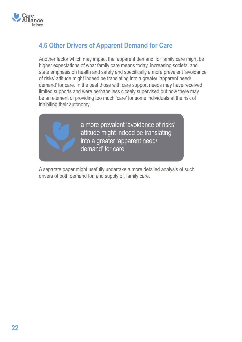

# **4.6 Other Drivers of Apparent Demand for Care**

Another factor which may impact the 'apparent demand' for family care might be higher expectations of what family care means today. Increasing societal and state emphasis on health and safety and specifically a more prevalent 'avoidance of risks' attitude might indeed be translating into a greater 'apparent need/ demand' for care. In the past those with care support needs may have received limited supports and were perhaps less closely supervised but now there may be an element of providing too much 'care' for some individuals at the risk of inhibiting their autonomy.



a more prevalent 'avoidance of risks' attitude might indeed be translating into a greater 'apparent need/ demand' for care

A separate paper might usefully undertake a more detailed analysis of such drivers of both demand for, and supply of, family care.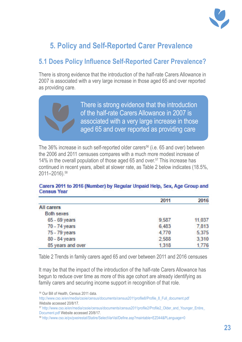

# **5. Policy and Self-Reported Carer Prevalence**

## **5.1 Does Policy Influence Self-Reported Carer Prevalence?**

There is strong evidence that the introduction of the half-rate Carers Allowance in 2007 is associated with a very large increase in those aged 65 and over reported as providing care.



The 36% increase in such self-reported older carers<sup>56</sup> (i.e. 65 and over) between the 2006 and 2011 censuses compares with a much more modest increase of 14% in the overall population of those aged 65 and over.<sup>57</sup> This increase has continued in recent years, albeit at slower rate, as Table 2 below indicates (18.5%, 2011–2016).58

#### Carers 2011 to 2016 (Number) by Regular Unpaid Help, Sex, Age Group and **Census Year**

|                   | 2011  | 2016   |
|-------------------|-------|--------|
| <b>All carers</b> |       |        |
| <b>Both sexes</b> |       |        |
| 65 - 69 years     | 9,587 | 11,037 |
| 70 - 74 years     | 6,483 | 7,813  |
| 75 - 79 years     | 4,770 | 5,375  |
| 80 - 84 years     | 2,588 | 3,310  |
| 85 years and over | 1,318 | 1,776  |

Table 2 Trends in family carers aged 65 and over between 2011 and 2016 censuses

It may be that the impact of the introduction of the half-rate Carers Allowance has begun to reduce over time as more of this age cohort are already identifying as family carers and securing income support in recognition of that role.

56 Our Bill of Health, Census 2011 data.

http://www.cso.ie/en/media/csoie/census/documents/census2011profile8/Profile\_8\_Full\_document.pdf Website accessed 20/8/17.

<sup>57</sup> http://www.cso.ie/en/media/csoie/census/documents/census2011profile2/Profile2\_Older\_and\_Younger\_Entire Document.pdf Website accessed 20/8/17.

<sup>58</sup> http://www.cso.ie/px/pxeirestat/Statire/SelectVarVal/Define.asp?maintable=EZ044&PLanguage=0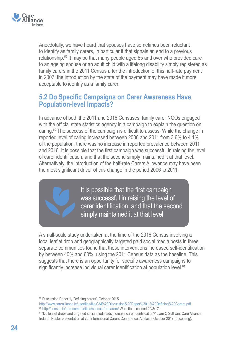

Anecdotally, we have heard that spouses have sometimes been reluctant to identify as family carers, in particular if that signals an end to a previous relationship.59 It may be that many people aged 65 and over who provided care to an ageing spouse or an adult child with a lifelong disability simply registered as family carers in the 2011 Census after the introduction of this half-rate payment in 2007; the introduction by the state of the payment may have made it more acceptable to identify as a family carer.

### **5.2 Do Specific Campaigns on Carer Awareness Have Population-level Impacts?**

In advance of both the 2011 and 2016 Censuses, family carer NGOs engaged with the official state statistics agency in a campaign to explain the question on caring.60 The success of the campaign is difficult to assess. While the change in reported level of caring increased between 2006 and 2011 from 3.6% to 4.1% of the population, there was no increase in reported prevalence between 2011 and 2016. It is possible that the first campaign was successful in raising the level of carer identification, and that the second simply maintained it at that level. Alternatively, the introduction of the half-rate Carers Allowance may have been the most significant driver of this change in the period 2006 to 2011.

> It is possible that the first campaign was successful in raising the level of carer identification, and that the second simply maintained it at that level

A small-scale study undertaken at the time of the 2016 Census involving a local leaflet drop and geographically targeted paid social media posts in three separate communities found that these interventions increased self-identification by between 40% and 60%, using the 2011 Census data as the baseline. This suggests that there is an opportunity for specific awareness campaigns to significantly increase individual carer identification at population level.<sup>61</sup>

<sup>59</sup> Discussion Paper 1, 'Defining carers'. October 2015

http://www.carealliance.ie/userfiles/file/CAI%20Discussion%20Paper%201-%20Defining%20Carers.pdf

<sup>60</sup> http://census.ie/and-communities/census-for-carers/ Website accessed 20/8/17.

<sup>61 &#</sup>x27;Do leaflet drops and targeted social media ads increase carer identification?' Liam O'Sullivan, Care Alliance Ireland. Poster presentation at 7th International Carers Conference, Adelaide October 2017 (upcoming).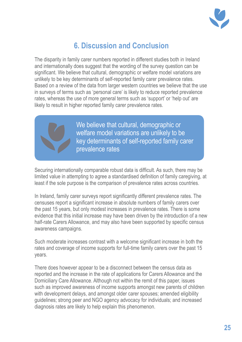

# **6. Discussion and Conclusion**

The disparity in family carer numbers reported in different studies both in Ireland and internationally does suggest that the wording of the survey question can be significant. We believe that cultural, demographic or welfare model variations are unlikely to be key determinants of self-reported family carer prevalence rates. Based on a review of the data from larger western countries we believe that the use in surveys of terms such as 'personal care' is likely to reduce reported prevalence rates, whereas the use of more general terms such as 'support' or 'help out' are likely to result in higher reported family carer prevalence rates.



We believe that cultural, demographic or welfare model variations are unlikely to be key determinants of self-reported family carer prevalence rates

Securing internationally comparable robust data is difficult. As such, there may be limited value in attempting to agree a standardised definition of family caregiving, at least if the sole purpose is the comparison of prevalence rates across countries.

In Ireland, family carer surveys report significantly different prevalence rates. The censuses report a significant increase in absolute numbers of family carers over the past 15 years, but only modest increases in prevalence rates. There is some evidence that this initial increase may have been driven by the introduction of a new half-rate Carers Allowance, and may also have been supported by specific census awareness campaigns.

Such moderate increases contrast with a welcome significant increase in both the rates and coverage of income supports for full-time family carers over the past 15 years.

There does however appear to be a disconnect between the census data as reported and the increase in the rate of applications for Carers Allowance and the Domiciliary Care Allowance. Although not within the remit of this paper, issues such as improved awareness of income supports amongst new parents of children with development delays, and amongst older carer spouses; amended eligibility guidelines; strong peer and NGO agency advocacy for individuals; and increased diagnosis rates are likely to help explain this phenomenon.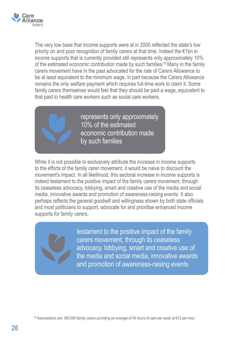

The very low base that income supports were at in 2000 reflected the state's low priority on and poor recognition of family carers at that time. Indeed the €1bn in income supports that is currently provided still represents only approximately 10% of the estimated economic contribution made by such families.<sup>62</sup> Many in the family carers movement have in the past advocated for the rate of Carers Allowance to be at least equivalent to the minimum wage, in part because the Carers Allowance remains the only welfare payment which requires full-time work to claim it. Some family carers themselves would feel that they should be paid a wage, equivalent to that paid to health care workers such as social care workers.



represents only approximately 10% of the estimated economic contribution made by such families

While it is not possible to exclusively attribute the increase in income supports to the efforts of the family carer movement, it would be naive to discount the movement's impact. In all likelihood, this sectoral increase in income supports is indeed testament to the positive impact of the family carers movement, through its ceaseless advocacy, lobbying, smart and creative use of the media and social media, innovative awards and promotion of awareness-raising events. It also perhaps reflects the general goodwill and willingness shown by both state officials and most politicians to support, advocate for and prioritise enhanced income supports for family carers.

> testament to the positive impact of the family carers movement, through its ceaseless advocacy, lobbying, smart and creative use of the media and social media, innovative awards and promotion of awareness-raising events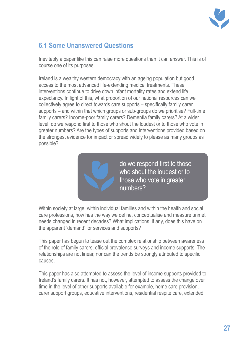

## **6.1 Some Unanswered Questions**

Inevitably a paper like this can raise more questions than it can answer. This is of course one of its purposes.

Ireland is a wealthy western democracy with an ageing population but good access to the most advanced life-extending medical treatments. These interventions continue to drive down infant mortality rates and extend life expectancy. In light of this, what proportion of our national resources can we collectively agree to direct towards care supports – specifically family carer supports – and within that which groups or sub-groups do we prioritise? Full-time family carers? Income-poor family carers? Dementia family carers? At a wider level, do we respond first to those who shout the loudest or to those who vote in greater numbers? Are the types of supports and interventions provided based on the strongest evidence for impact or spread widely to please as many groups as possible?



Within society at large, within individual families and within the health and social care professions, how has the way we define, conceptualise and measure unmet needs changed in recent decades? What implications, if any, does this have on the apparent 'demand' for services and supports?

This paper has begun to tease out the complex relationship between awareness of the role of family carers, official prevalence surveys and income supports. The relationships are not linear, nor can the trends be strongly attributed to specific causes.

This paper has also attempted to assess the level of income supports provided to Ireland's family carers. It has not, however, attempted to assess the change over time in the level of other supports available for example, home care provision, carer support groups, educative interventions, residential respite care, extended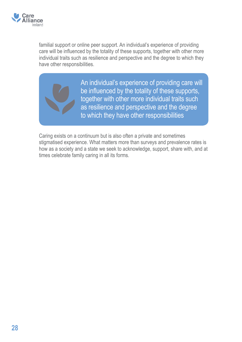

familial support or online peer support. An individual's experience of providing care will be influenced by the totality of these supports, together with other more individual traits such as resilience and perspective and the degree to which they have other responsibilities.

> An individual's experience of providing care will be influenced by the totality of these supports, together with other more individual traits such as resilience and perspective and the degree to which they have other responsibilities

Caring exists on a continuum but is also often a private and sometimes stigmatised experience. What matters more than surveys and prevalence rates is how as a society and a state we seek to acknowledge, support, share with, and at times celebrate family caring in all its forms.